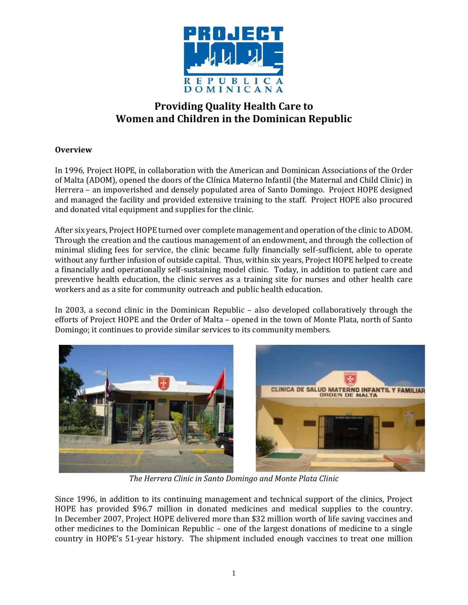

# **Providing Quality Health Care to Women and Children in the Dominican Republic**

## **Overview**

In 1996, Project HOPE, in collaboration with the American and Dominican Associations of the Order of Malta (ADOM), opened the doors of the Clínica Materno Infantil (the Maternal and Child Clinic) in Herrera – an impoverished and densely populated area of Santo Domingo. Project HOPE designed and managed the facility and provided extensive training to the staff. Project HOPE also procured and donated vital equipment and supplies for the clinic.

After six years, Project HOPE turned over complete management and operation of the clinic to ADOM. Through the creation and the cautious management of an endowment, and through the collection of minimal sliding fees for service, the clinic became fully financially self-sufficient, able to operate without any further infusion of outside capital. Thus, within six years, Project HOPE helped to create a financially and operationally self-sustaining model clinic. Today, in addition to patient care and preventive health education, the clinic serves as a training site for nurses and other health care workers and as a site for community outreach and public health education.

In 2003, a second clinic in the Dominican Republic – also developed collaboratively through the efforts of Project HOPE and the Order of Malta – opened in the town of Monte Plata, north of Santo Domingo; it continues to provide similar services to its community members.



*The Herrera Clinic in Santo Domingo and Monte Plata Clinic*

Since 1996, in addition to its continuing management and technical support of the clinics, Project HOPE has provided \$96.7 million in donated medicines and medical supplies to the country. In December 2007, Project HOPE delivered more than \$32 million worth of life saving vaccines and other medicines to the Dominican Republic – one of the largest donations of medicine to a single country in HOPE's 51-year history. The shipment included enough vaccines to treat one million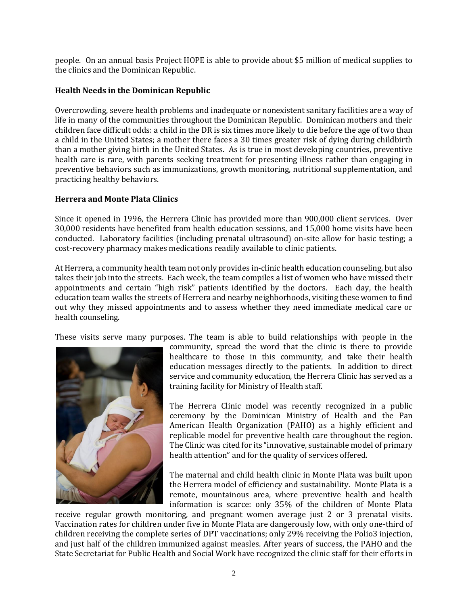people. On an annual basis Project HOPE is able to provide about \$5 million of medical supplies to the clinics and the Dominican Republic.

## **Health Needs in the Dominican Republic**

Overcrowding, severe health problems and inadequate or nonexistent sanitary facilities are a way of life in many of the communities throughout the Dominican Republic. Dominican mothers and their children face difficult odds: a child in the DR is six times more likely to die before the age of two than a child in the United States; a mother there faces a 30 times greater risk of dying during childbirth than a mother giving birth in the United States. As is true in most developing countries, preventive health care is rare, with parents seeking treatment for presenting illness rather than engaging in preventive behaviors such as immunizations, growth monitoring, nutritional supplementation, and practicing healthy behaviors.

### **Herrera and Monte Plata Clinics**

Since it opened in 1996, the Herrera Clinic has provided more than 900,000 client services. Over 30,000 residents have benefited from health education sessions, and 15,000 home visits have been conducted. Laboratory facilities (including prenatal ultrasound) on-site allow for basic testing; a cost-recovery pharmacy makes medications readily available to clinic patients.

At Herrera, a community health team not only provides in-clinic health education counseling, but also takes their job into the streets. Each week, the team compiles a list of women who have missed their appointments and certain "high risk" patients identified by the doctors. Each day, the health education team walks the streets of Herrera and nearby neighborhoods, visiting these women to find out why they missed appointments and to assess whether they need immediate medical care or health counseling.

These visits serve many purposes. The team is able to build relationships with people in the



community, spread the word that the clinic is there to provide healthcare to those in this community, and take their health education messages directly to the patients. In addition to direct service and community education, the Herrera Clinic has served as a training facility for Ministry of Health staff.

The Herrera Clinic model was recently recognized in a public ceremony by the Dominican Ministry of Health and the Pan American Health Organization (PAHO) as a highly efficient and replicable model for preventive health care throughout the region. The Clinic was cited for its "innovative, sustainable model of primary health attention" and for the quality of services offered.

The maternal and child health clinic in Monte Plata was built upon the Herrera model of efficiency and sustainability. Monte Plata is a remote, mountainous area, where preventive health and health information is scarce: only 35% of the children of Monte Plata

receive regular growth monitoring, and pregnant women average just 2 or 3 prenatal visits. Vaccination rates for children under five in Monte Plata are dangerously low, with only one-third of children receiving the complete series of DPT vaccinations; only 29% receiving the Polio3 injection, and just half of the children immunized against measles. After years of success, the PAHO and the State Secretariat for Public Health and Social Work have recognized the clinic staff for their efforts in